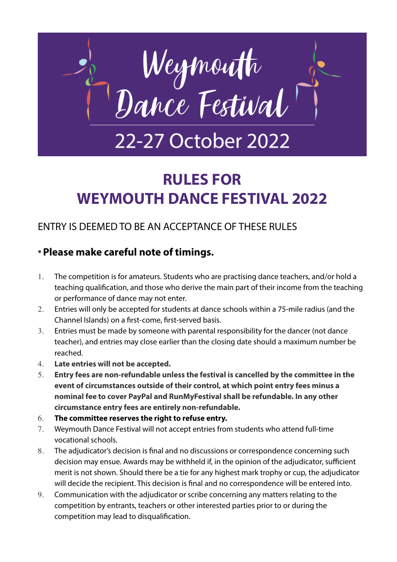

# **RULES FOR WEYMOUTH DANCE FESTIVAL 2022**

# ENTRY IS DEEMED TO BE AN ACCEPTANCE OF THESE RULES

## **\* Please make careful note of timings.**

- 1. The competition is for amateurs. Students who are practising dance teachers, and/or hold a teaching qualification, and those who derive the main part of their income from the teaching or performance of dance may not enter.
- 2. Entries will only be accepted for students at dance schools within a 75-mile radius (and the Channel Islands) on a first-come, first-served basis.
- 3. Entries must be made by someone with parental responsibility for the dancer (not dance teacher), and entries may close earlier than the closing date should a maximum number be reached.
- 4. **Late entries will not be accepted.**
- 5. **Entry fees are non-refundable unless the festival is cancelled by the committee in the event of circumstances outside of their control, at which point entry fees minus a nominal fee to cover PayPal and RunMyFestival shall be refundable. In any other circumstance entry fees are entirely non-refundable.**
- 6. **The committee reserves the right to refuse entry.**
- 7. Weymouth Dance Festival will not accept entries from students who attend full-time vocational schools.
- 8. The adjudicator's decision is final and no discussions or correspondence concerning such decision may ensue. Awards may be withheld if, in the opinion of the adjudicator, sufficient merit is not shown. Should there be a tie for any highest mark trophy or cup, the adjudicator will decide the recipient. This decision is final and no correspondence will be entered into.
- 9. Communication with the adjudicator or scribe concerning any matters relating to the competition by entrants, teachers or other interested parties prior to or during the competition may lead to disqualification.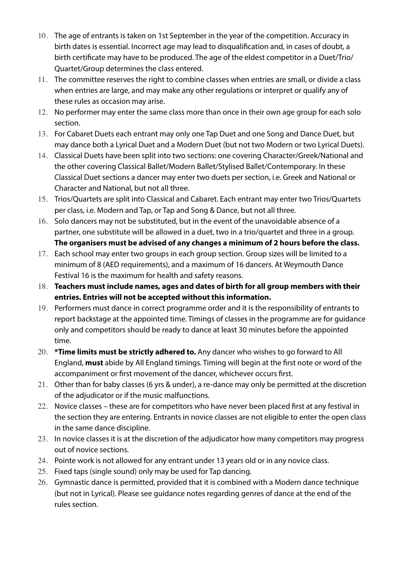- 10. The age of entrants is taken on 1st September in the year of the competition. Accuracy in birth dates is essential. Incorrect age may lead to disqualification and, in cases of doubt, a birth certificate may have to be produced. The age of the eldest competitor in a Duet/Trio/ Quartet/Group determines the class entered.
- 11. The committee reserves the right to combine classes when entries are small, or divide a class when entries are large, and may make any other regulations or interpret or qualify any of these rules as occasion may arise.
- 12. No performer may enter the same class more than once in their own age group for each solo section.
- 13. For Cabaret Duets each entrant may only one Tap Duet and one Song and Dance Duet, but may dance both a Lyrical Duet and a Modern Duet (but not two Modern or two Lyrical Duets).
- 14. Classical Duets have been split into two sections: one covering Character/Greek/National and the other covering Classical Ballet/Modern Ballet/Stylised Ballet/Contemporary. In these Classical Duet sections a dancer may enter two duets per section, i.e. Greek and National or Character and National, but not all three.
- 15. Trios/Quartets are split into Classical and Cabaret. Each entrant may enter two Trios/Quartets per class, i.e. Modern and Tap, or Tap and Song & Dance, but not all three.
- 16. Solo dancers may not be substituted, but in the event of the unavoidable absence of a partner, one substitute will be allowed in a duet, two in a trio/quartet and three in a group. **The organisers must be advised of any changes a minimum of 2 hours before the class.**
- 17. Each school may enter two groups in each group section. Group sizes will be limited to a minimum of 8 (AED requirements), and a maximum of 16 dancers. At Weymouth Dance Festival 16 is the maximum for health and safety reasons.
- 18. **Teachers must include names, ages and dates of birth for all group members with their entries. Entries will not be accepted without this information.**
- 19. Performers must dance in correct programme order and it is the responsibility of entrants to report backstage at the appointed time. Timings of classes in the programme are for guidance only and competitors should be ready to dance at least 30 minutes before the appointed time.
- 20. **\*Time limits must be strictly adhered to.** Any dancer who wishes to go forward to All England, **must** abide by All England timings. Timing will begin at the first note or word of the accompaniment or first movement of the dancer, whichever occurs first.
- 21. Other than for baby classes (6 yrs & under), a re-dance may only be permitted at the discretion of the adjudicator or if the music malfunctions.
- 22. Novice classes these are for competitors who have never been placed first at any festival in the section they are entering. Entrants in novice classes are not eligible to enter the open class in the same dance discipline.
- 23. In novice classes it is at the discretion of the adjudicator how many competitors may progress out of novice sections.
- 24. Pointe work is not allowed for any entrant under 13 years old or in any novice class.
- 25. Fixed taps (single sound) only may be used for Tap dancing.
- 26. Gymnastic dance is permitted, provided that it is combined with a Modern dance technique (but not in Lyrical). Please see guidance notes regarding genres of dance at the end of the rules section.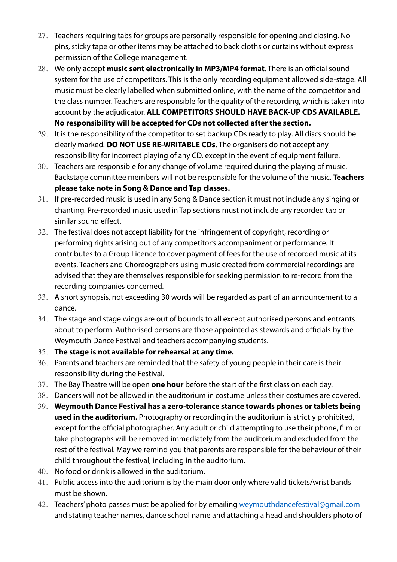- 27. Teachers requiring tabs for groups are personally responsible for opening and closing. No pins, sticky tape or other items may be attached to back cloths or curtains without express permission of the College management.
- 28. We only accept **music sent electronically in MP3/MP4 format**. There is an official sound system for the use of competitors. This is the only recording equipment allowed side-stage. All music must be clearly labelled when submitted online, with the name of the competitor and the class number. Teachers are responsible for the quality of the recording, which is taken into account by the adjudicator. **ALL COMPETITORS SHOULD HAVE BACK-UP CDS AVAILABLE. No responsibility will be accepted for CDs not collected after the section.**
- 29. It is the responsibility of the competitor to set backup CDs ready to play. All discs should be clearly marked. **DO NOT USE RE-WRITABLE CDs.** The organisers do not accept any responsibility for incorrect playing of any CD, except in the event of equipment failure.
- 30. Teachers are responsible for any change of volume required during the playing of music. Backstage committee members will not be responsible for the volume of the music. **Teachers please take note in Song & Dance and Tap classes.**
- 31. If pre-recorded music is used in any Song & Dance section it must not include any singing or chanting. Pre-recorded music used in Tap sections must not include any recorded tap or similar sound effect.
- 32. The festival does not accept liability for the infringement of copyright, recording or performing rights arising out of any competitor's accompaniment or performance. It contributes to a Group Licence to cover payment of fees for the use of recorded music at its events. Teachers and Choreographers using music created from commercial recordings are advised that they are themselves responsible for seeking permission to re-record from the recording companies concerned.
- 33. A short synopsis, not exceeding 30 words will be regarded as part of an announcement to a dance.
- 34. The stage and stage wings are out of bounds to all except authorised persons and entrants about to perform. Authorised persons are those appointed as stewards and officials by the Weymouth Dance Festival and teachers accompanying students.
- 35. **The stage is not available for rehearsal at any time.**
- 36. Parents and teachers are reminded that the safety of young people in their care is their responsibility during the Festival.
- 37. The Bay Theatre will be open **one hour** before the start of the first class on each day.
- 38. Dancers will not be allowed in the auditorium in costume unless their costumes are covered.
- 39. **Weymouth Dance Festival has a zero-tolerance stance towards phones or tablets being used in the auditorium.** Photography or recording in the auditorium is strictly prohibited, except for the official photographer. Any adult or child attempting to use their phone, film or take photographs will be removed immediately from the auditorium and excluded from the rest of the festival. May we remind you that parents are responsible for the behaviour of their child throughout the festival, including in the auditorium.
- 40. No food or drink is allowed in the auditorium.
- 41. Public access into the auditorium is by the main door only where valid tickets/wrist bands must be shown.
- 42. Teachers' photo passes must be applied for by emailing [weymouthdancefestival@gmail.com](mailto:weymouthdancefestival@gmail.com) and stating teacher names, dance school name and attaching a head and shoulders photo of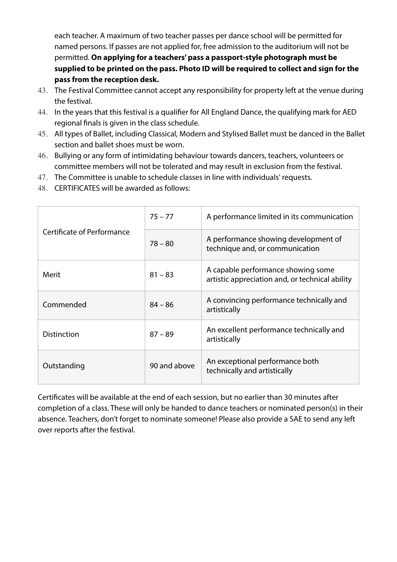each teacher. A maximum of two teacher passes per dance school will be permitted for named persons. If passes are not applied for, free admission to the auditorium will not be permitted. **On applying for a teachers' pass a passport-style photograph must be supplied to be printed on the pass. Photo ID will be required to collect and sign for the pass from the reception desk.**

- 43. The Festival Committee cannot accept any responsibility for property left at the venue during the festival.
- 44. In the years that this festival is a qualifier for All England Dance, the qualifying mark for AED regional finals is given in the class schedule.
- 45. All types of Ballet, including Classical, Modern and Stylised Ballet must be danced in the Ballet section and ballet shoes must be worn.
- 46. Bullying or any form of intimidating behaviour towards dancers, teachers, volunteers or committee members will not be tolerated and may result in exclusion from the festival.
- 47. The Committee is unable to schedule classes in line with individuals' requests.
- 48. CERTIFICATES will be awarded as follows:

|                                   | $75 - 77$    | A performance limited in its communication                                            |
|-----------------------------------|--------------|---------------------------------------------------------------------------------------|
| <b>Certificate of Performance</b> | $78 - 80$    | A performance showing development of<br>technique and, or communication               |
| Merit                             | $81 - 83$    | A capable performance showing some<br>artistic appreciation and, or technical ability |
| Commended                         | $84 - 86$    | A convincing performance technically and<br>artistically                              |
| <b>Distinction</b>                | $87 - 89$    | An excellent performance technically and<br>artistically                              |
| Outstanding                       | 90 and above | An exceptional performance both<br>technically and artistically                       |

Certificates will be available at the end of each session, but no earlier than 30 minutes after completion of a class. These will only be handed to dance teachers or nominated person(s) in their absence. Teachers, don't forget to nominate someone! Please also provide a SAE to send any left over reports after the festival.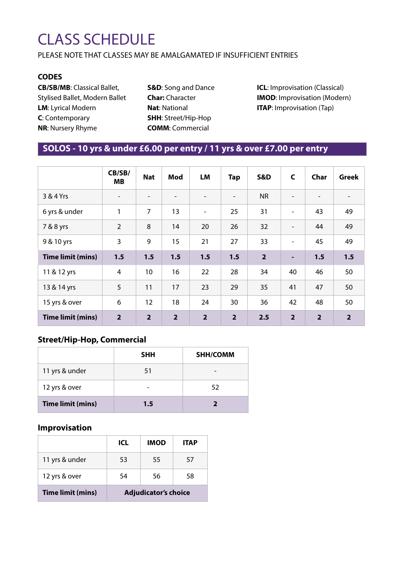# CLASS SCHEDULE

PLEASE NOTE THAT CLASSES MAY BE AMALGAMATED IF INSUFFICIENT ENTRIES

### **CODES**

**CB/SB/MB**: Classical Ballet, Stylised Ballet, Modern Ballet **LM**: Lyrical Modern **C**: Contemporary **NR**: Nursery Rhyme

**S&D**: Song and Dance **Char:** Character **Nat**: National **SHH**: Street/Hip-Hop **COMM**: Commercial

**ICL:** Improvisation (Classical) **IMOD**: Improvisation (Modern) **ITAP**: Improvisation (Tap)

## **SOLOS - 10 yrs & under £6.00 per entry / 11 yrs & over £7.00 per entry**

|                          | CB/SB/<br><b>MB</b>      | <b>Nat</b>               | Mod                      | LM             | <b>Tap</b>               | <b>S&amp;D</b> | $\mathsf{C}$             | Char           | <b>Greek</b>   |
|--------------------------|--------------------------|--------------------------|--------------------------|----------------|--------------------------|----------------|--------------------------|----------------|----------------|
| 3 & 4 Yrs                | $\overline{\phantom{a}}$ | $\overline{\phantom{a}}$ | $\overline{\phantom{0}}$ |                | $\overline{\phantom{a}}$ | <b>NR</b>      | $\overline{\phantom{a}}$ |                |                |
| 6 yrs & under            | 1                        | 7                        | 13                       | $\blacksquare$ | 25                       | 31             | $\overline{\phantom{a}}$ | 43             | 49             |
| 7 & 8 yrs                | $\overline{2}$           | 8                        | 14                       | 20             | 26                       | 32             | $\blacksquare$           | 44             | 49             |
| 9 & 10 yrs               | 3                        | 9                        | 15                       | 21             | 27                       | 33             | $\overline{\phantom{a}}$ | 45             | 49             |
| <b>Time limit (mins)</b> | 1.5                      | 1.5                      | 1.5                      | 1.5            | 1.5                      | $\overline{2}$ | ٠                        | 1.5            | 1.5            |
| 11 & 12 yrs              | $\overline{4}$           | 10                       | 16                       | 22             | 28                       | 34             | 40                       | 46             | 50             |
| 13 & 14 yrs              | 5                        | 11                       | 17                       | 23             | 29                       | 35             | 41                       | 47             | 50             |
| 15 yrs & over            | 6                        | 12                       | 18                       | 24             | 30                       | 36             | 42                       | 48             | 50             |
| <b>Time limit (mins)</b> | $\overline{2}$           | $\overline{2}$           | $\overline{2}$           | $\overline{2}$ | 2 <sup>1</sup>           | 2.5            | $\overline{2}$           | $\overline{2}$ | $\overline{2}$ |

### **Street/Hip-Hop, Commercial**

|                          | <b>SHH</b> | <b>SHH/COMM</b> |
|--------------------------|------------|-----------------|
| 11 yrs & under           | 51         |                 |
| 12 yrs & over            |            | 52              |
| <b>Time limit (mins)</b> | 1.5        |                 |

## **Improvisation**

|                          | <b>ICL</b>                  | <b>IMOD</b> | <b>ITAP</b> |  |
|--------------------------|-----------------------------|-------------|-------------|--|
| 11 yrs & under           | 53                          | 55          | 57          |  |
| 12 yrs & over            | 54                          | 56          | 58          |  |
| <b>Time limit (mins)</b> | <b>Adjudicator's choice</b> |             |             |  |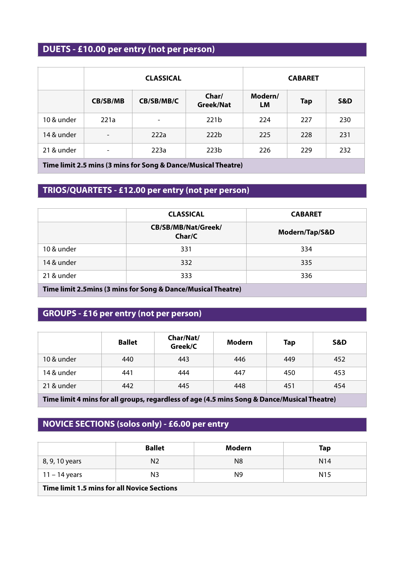# **DUETS - £10.00 per entry (not per person)**

|                                                                         |                              | <b>CLASSICAL</b>         |                    | <b>CABARET</b> |            |                |
|-------------------------------------------------------------------------|------------------------------|--------------------------|--------------------|----------------|------------|----------------|
|                                                                         | <b>CB/SB/MB</b>              | CB/SB/MB/C               | Char/<br>Greek/Nat | Modern/<br>LM  | <b>Tap</b> | <b>S&amp;D</b> |
| 10 & under                                                              | 221a                         | $\overline{\phantom{a}}$ | 221 <sub>b</sub>   | 224            | 227        | 230            |
| 14 & under                                                              | $\overline{\phantom{a}}$     | 222a                     | 222 <sub>b</sub>   | 225            | 228        | 231            |
| 21 & under                                                              | $\qquad \qquad \blacksquare$ | 223a                     | 223 <sub>b</sub>   | 226            | 229        | 232            |
| .<br>$\mathbf{r}$<br>$\sim$ $\sim$<br>$\bullet$<br>$\sim$ $\sim$ $\sim$ |                              |                          |                    |                |            |                |

**Time limit 2.5 mins (3 mins for Song & Dance/Musical Theatre)**

## **TRIOS/QUARTETS - £12.00 per entry (not per person)**

|                                                              | <b>CLASSICAL</b>              | <b>CABARET</b> |  |  |  |
|--------------------------------------------------------------|-------------------------------|----------------|--|--|--|
|                                                              | CB/SB/MB/Nat/Greek/<br>Char/C | Modern/Tap/S&D |  |  |  |
| 10 & under                                                   | 331                           | 334            |  |  |  |
| 14 & under                                                   | 332                           | 335            |  |  |  |
| 21 & under                                                   | 333                           | 336            |  |  |  |
| Time limit 2.5mins (3 mins for Song & Dance/Musical Theatre) |                               |                |  |  |  |

# **GROUPS - £16 per entry (not per person)**

|            | <b>Ballet</b> | Char/Nat/<br>Greek/C | Modern | <b>Tap</b> | S&D |
|------------|---------------|----------------------|--------|------------|-----|
| 10 & under | 440           | 443                  | 446    | 449        | 452 |
| 14 & under | 441           | 444                  | 447    | 450        | 453 |
| 21 & under | 442           | 445                  | 448    | 451        | 454 |

**Time limit 4 mins for all groups, regardless of age (4.5 mins Song & Dance/Musical Theatre)**

## **NOVICE SECTIONS (solos only) - £6.00 per entry**

|                                                    | <b>Ballet</b>  | Modern | Tap             |  |  |
|----------------------------------------------------|----------------|--------|-----------------|--|--|
| 8, 9, 10 years                                     | N <sub>2</sub> | N8     | N <sub>14</sub> |  |  |
| $11 - 14$ years                                    | N3             | N9.    | N <sub>15</sub> |  |  |
| <b>Time limit 1.5 mins for all Novice Sections</b> |                |        |                 |  |  |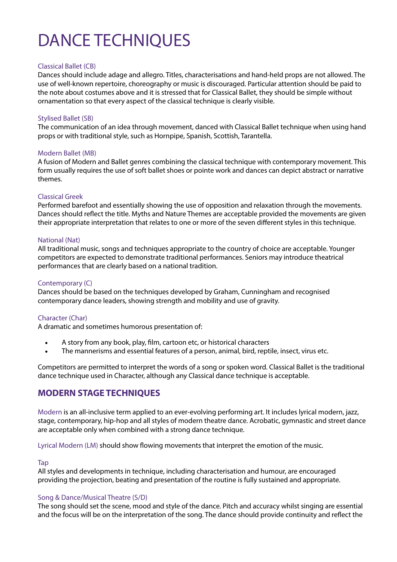# DANCE TECHNIQUES

#### Classical Ballet (CB)

Dances should include adage and allegro. Titles, characterisations and hand-held props are not allowed. The use of well-known repertoire, choreography or music is discouraged. Particular attention should be paid to the note about costumes above and it is stressed that for Classical Ballet, they should be simple without ornamentation so that every aspect of the classical technique is clearly visible.

#### Stylised Ballet (SB)

The communication of an idea through movement, danced with Classical Ballet technique when using hand props or with traditional style, such as Hornpipe, Spanish, Scottish, Tarantella.

#### Modern Ballet (MB)

A fusion of Modern and Ballet genres combining the classical technique with contemporary movement. This form usually requires the use of soft ballet shoes or pointe work and dances can depict abstract or narrative themes.

#### Classical Greek

Performed barefoot and essentially showing the use of opposition and relaxation through the movements. Dances should reflect the title. Myths and Nature Themes are acceptable provided the movements are given their appropriate interpretation that relates to one or more of the seven different styles in this technique.

#### National (Nat)

All traditional music, songs and techniques appropriate to the country of choice are acceptable. Younger competitors are expected to demonstrate traditional performances. Seniors may introduce theatrical performances that are clearly based on a national tradition.

#### Contemporary (C)

Dances should be based on the techniques developed by Graham, Cunningham and recognised contemporary dance leaders, showing strength and mobility and use of gravity.

#### Character (Char)

A dramatic and sometimes humorous presentation of:

- A story from any book, play, film, cartoon etc, or historical characters
- The mannerisms and essential features of a person, animal, bird, reptile, insect, virus etc.

Competitors are permitted to interpret the words of a song or spoken word. Classical Ballet is the traditional dance technique used in Character, although any Classical dance technique is acceptable.

### **MODERN STAGE TECHNIQUES**

Modern is an all-inclusive term applied to an ever-evolving performing art. It includes lyrical modern, jazz, stage, contemporary, hip-hop and all styles of modern theatre dance. Acrobatic, gymnastic and street dance are acceptable only when combined with a strong dance technique.

Lyrical Modern (LM) should show flowing movements that interpret the emotion of the music.

#### Tap

All styles and developments in technique, including characterisation and humour, are encouraged providing the projection, beating and presentation of the routine is fully sustained and appropriate.

#### Song & Dance/Musical Theatre (S/D)

The song should set the scene, mood and style of the dance. Pitch and accuracy whilst singing are essential and the focus will be on the interpretation of the song. The dance should provide continuity and reflect the